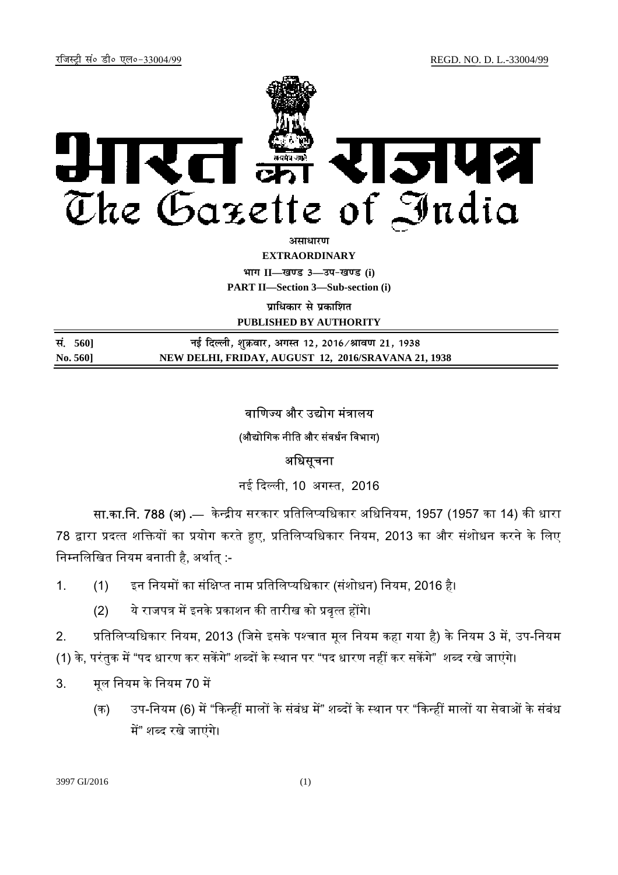

असाधा**र**ण **EXTRAORDINARY Hkkx II—[k.M 3—mi&[k.M (i) PART II—Section 3—Sub-section (i)** 

**पाधिकार से पका**शित

**PUBLISHED BY AUTHORITY**

| सं. 560] | नई दिल्ली, शुक्रवार, अगस्त 12, 2016 ⁄ श्रावण 21, 1938 |
|----------|-------------------------------------------------------|
| No. 560] | NEW DELHI, FRIDAY, AUGUST 12, 2016/SRAVANA 21, 1938   |

वाणिज्य और उद्योग मंत्रालय (औद्योगिक नीति और संवर्धन विभाग)

## अधिसचना

नई दिल्ली, 10 अगस्त, 2016

सा.<mark>का.नि. 788 (अ) .</mark>— केन्द्रीय सरकार प्रतिलिप्यधिकार अधिनियम, 1957 (1957 का 14) की धारा 78 द्वारा प्रदत्त शक्तियों का प्रयोग करते हुए, प्रतिलिप्यधिकार नियम, 2013 का और संशोधन करने के लिए निम्नलिखित नियम बनाती है, अर्थात् :-

- 1. (1) इन नियमों का संक्षिप्त नाम प्रतिलिप्यधिकार (संशोधन) नियम, 2016 है।
	- (2) ये राजपत्र में इनके प्रकाशन की तारीख को प्रवृत्त होंगे।

2. अतिलिप्यधिकार नियम, 2013 (जिसे इसके पश्चात मूल नियम कहा गया है) के नियम 3 में, उप-नियम (1) के, परंतुक में "पद धारण कर सकेंगे" शब्दों के स्थान पर "पद धारण नहीं कर सकेंगे" शब्द रखे जाएंगे।

- 3. मूल नियम के नियम 70 में
	- (क) उप-नियम (6) में "किन्हीं मालों के संबंध में" शब्दों के स्थान पर "किन्हीं मालों या सेवाओं के संबंध में" शब्द रखे जाएंगे।